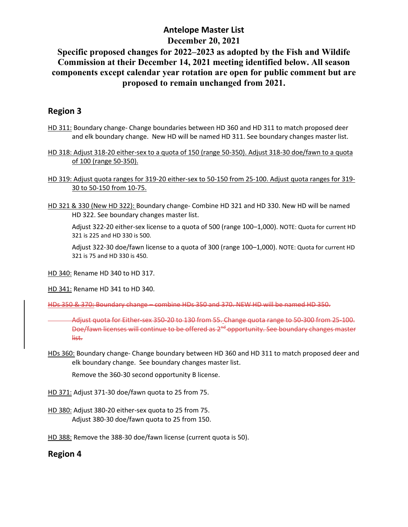### **Antelope Master List December 20, 2021**

## **Specific proposed changes for 2022–2023 as adopted by the Fish and Wildife Commission at their December 14, 2021 meeting identified below. All season components except calendar year rotation are open for public comment but are proposed to remain unchanged from 2021.**

#### **Region 3**

- HD 311: Boundary change- Change boundaries between HD 360 and HD 311 to match proposed deer and elk boundary change. New HD will be named HD 311. See boundary changes master list.
- HD 318: Adjust 318-20 either-sex to a quota of 150 (range 50-350). Adjust 318-30 doe/fawn to a quota of 100 (range 50-350).
- HD 319: Adjust quota ranges for 319-20 either-sex to 50-150 from 25-100. Adjust quota ranges for 319- 30 to 50-150 from 10-75.
- HD 321 & 330 (New HD 322): Boundary change- Combine HD 321 and HD 330. New HD will be named HD 322. See boundary changes master list.

Adjust 322-20 either-sex license to a quota of 500 (range 100–1,000). NOTE: Quota for current HD 321 is 225 and HD 330 is 500.

Adjust 322-30 doe/fawn license to a quota of 300 (range 100–1,000). NOTE: Quota for current HD 321 is 75 and HD 330 is 450.

HD 340: Rename HD 340 to HD 317.

HD 341: Rename HD 341 to HD 340.

HDs 350 & 370: Boundary change – combine HDs 350 and 370. NEW HD will be named HD 350.

Adjust quota for Either-sex 350-20 to 130 from 55. Change quota range to 50-300 from 25-100. Doe/fawn licenses will continue to be offered as 2<sup>nd</sup> opportunity. See boundary changes master list.

HDs 360: Boundary change- Change boundary between HD 360 and HD 311 to match proposed deer and elk boundary change. See boundary changes master list.

Remove the 360-30 second opportunity B license.

- HD 371: Adjust 371-30 doe/fawn quota to 25 from 75.
- HD 380: Adjust 380-20 either-sex quota to 25 from 75. Adjust 380-30 doe/fawn quota to 25 from 150.

HD 388: Remove the 388-30 doe/fawn license (current quota is 50).

#### **Region 4**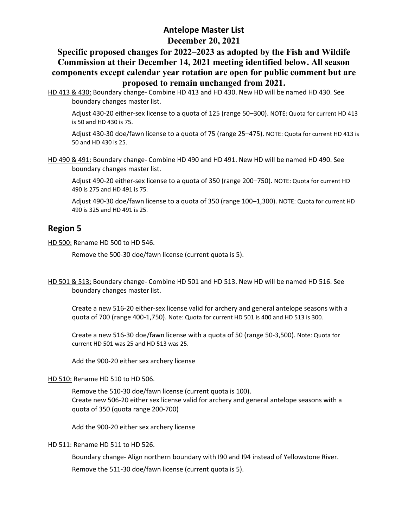# **Antelope Master List December 20, 2021**

#### **Specific proposed changes for 2022–2023 as adopted by the Fish and Wildife Commission at their December 14, 2021 meeting identified below. All season components except calendar year rotation are open for public comment but are proposed to remain unchanged from 2021.**

HD 413 & 430: Boundary change- Combine HD 413 and HD 430. New HD will be named HD 430. See boundary changes master list.

Adjust 430-20 either-sex license to a quota of 125 (range 50–300). NOTE: Quota for current HD 413 is 50 and HD 430 is 75.

Adjust 430-30 doe/fawn license to a quota of 75 (range 25–475). NOTE: Quota for current HD 413 is 50 and HD 430 is 25.

HD 490 & 491: Boundary change- Combine HD 490 and HD 491. New HD will be named HD 490. See boundary changes master list.

Adjust 490-20 either-sex license to a quota of 350 (range 200–750). NOTE: Quota for current HD 490 is 275 and HD 491 is 75.

Adjust 490-30 doe/fawn license to a quota of 350 (range 100–1,300). NOTE: Quota for current HD 490 is 325 and HD 491 is 25.

#### **Region 5**

HD 500: Rename HD 500 to HD 546.

Remove the 500-30 doe/fawn license (current quota is 5).

HD 501 & 513: Boundary change- Combine HD 501 and HD 513. New HD will be named HD 516. See boundary changes master list.

Create a new 516-20 either-sex license valid for archery and general antelope seasons with a quota of 700 (range 400-1,750). Note: Quota for current HD 501 is 400 and HD 513 is 300.

Create a new 516-30 doe/fawn license with a quota of 50 (range 50-3,500). Note: Quota for current HD 501 was 25 and HD 513 was 25.

Add the 900-20 either sex archery license

HD 510: Rename HD 510 to HD 506.

Remove the 510-30 doe/fawn license (current quota is 100). Create new 506-20 either sex license valid for archery and general antelope seasons with a quota of 350 (quota range 200-700)

Add the 900-20 either sex archery license

HD 511: Rename HD 511 to HD 526.

Boundary change- Align northern boundary with I90 and I94 instead of Yellowstone River.

Remove the 511-30 doe/fawn license (current quota is 5).